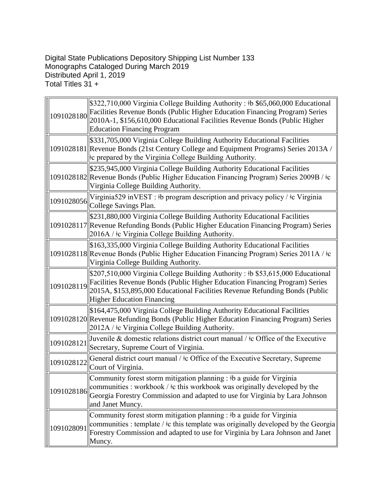Digital State Publications Depository Shipping List Number 133 Monographs Cataloged During March 2019 Distributed April 1, 2019 Total Titles 31 +

| 1091028180 | \$322,710,000 Virginia College Building Authority: # \$65,060,000 Educational<br>Facilities Revenue Bonds (Public Higher Education Financing Program) Series<br>2010A-1, \$156,610,000 Educational Facilities Revenue Bonds (Public Higher<br><b>Education Financing Program</b>  |
|------------|-----------------------------------------------------------------------------------------------------------------------------------------------------------------------------------------------------------------------------------------------------------------------------------|
|            | \$331,705,000 Virginia College Building Authority Educational Facilities<br>1091028181 Revenue Bonds (21st Century College and Equipment Programs) Series 2013A /<br>the prepared by the Virginia College Building Authority.                                                     |
|            | \$235,945,000 Virginia College Building Authority Educational Facilities<br>1091028182 Revenue Bonds (Public Higher Education Financing Program) Series 2009B / ‡c<br>Virginia College Building Authority.                                                                        |
| 1091028056 | Virginia 529 in VEST : #b program description and privacy policy / $\pm c$ Virginia<br>College Savings Plan.                                                                                                                                                                      |
|            | \$231,880,000 Virginia College Building Authority Educational Facilities<br>1091028117 Revenue Refunding Bonds (Public Higher Education Financing Program) Series<br>2016A / ‡c Virginia College Building Authority.                                                              |
|            | \$163,335,000 Virginia College Building Authority Educational Facilities<br>1091028118 Revenue Bonds (Public Higher Education Financing Program) Series 2011A / ‡c<br>Virginia College Building Authority.                                                                        |
| 1091028119 | \$207,510,000 Virginia College Building Authority: #b \$53,615,000 Educational<br>Facilities Revenue Bonds (Public Higher Education Financing Program) Series<br>2015A, \$153,895,000 Educational Facilities Revenue Refunding Bonds (Public<br><b>Higher Education Financing</b> |
|            | \$164,475,000 Virginia College Building Authority Educational Facilities<br>1091028120 Revenue Refunding Bonds (Public Higher Education Financing Program) Series<br>2012A / ‡c Virginia College Building Authority.                                                              |
| 1091028121 | Juvenile & domestic relations district court manual / $\pm$ c Office of the Executive<br>Secretary, Supreme Court of Virginia.                                                                                                                                                    |
| 1091028122 | General district court manual / $\pm c$ Office of the Executive Secretary, Supreme<br>Court of Virginia.                                                                                                                                                                          |
| 1091028186 | Community forest storm mitigation planning : #b a guide for Virginia<br>communities : workbook / $\pm$ c this workbook was originally developed by the<br>Georgia Forestry Commission and adapted to use for Virginia by Lara Johnson<br>and Janet Muncy.                         |
| 1091028091 | Community forest storm mitigation planning : $\mathfrak{b}$ a guide for Virginia<br>communities : template / $\pm$ c this template was originally developed by the Georgia<br>Forestry Commission and adapted to use for Virginia by Lara Johnson and Janet<br>Muncy.             |